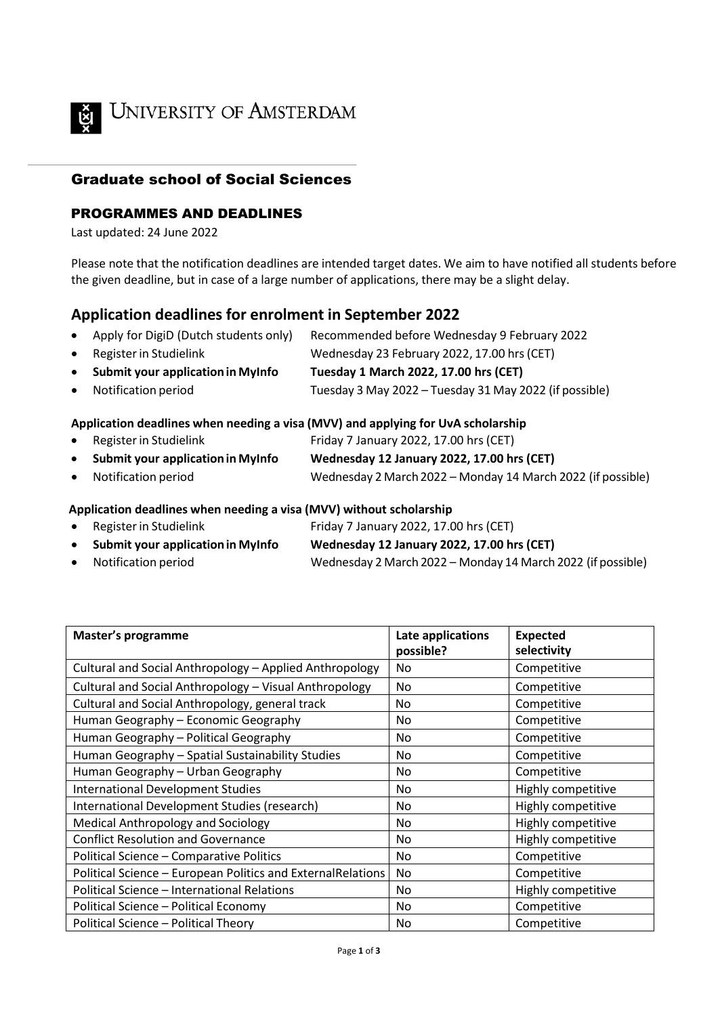

**UNIVERSITY OF AMSTERDAM** 

## Graduate school of Social Sciences

### PROGRAMMES AND DEADLINES

Last updated: 24 June 2022

Please note that the notification deadlines are intended target dates. We aim to have notified all students before the given deadline, but in case of a large number of applications, there may be a slight delay.

# **Application deadlines for enrolment in September 2022**

|   | • Apply for DigiD (Dutch students only) Recommended before Wednesday 9 February 2022                                                                                                                                                                                                                                                      |
|---|-------------------------------------------------------------------------------------------------------------------------------------------------------------------------------------------------------------------------------------------------------------------------------------------------------------------------------------------|
| . | $\mathbf{u}$ , $\mathbf{v}$ , $\mathbf{v}$ , $\mathbf{v}$ , $\mathbf{v}$ , $\mathbf{v}$ , $\mathbf{v}$ , $\mathbf{v}$ , $\mathbf{v}$ , $\mathbf{v}$ , $\mathbf{v}$ , $\mathbf{v}$ , $\mathbf{v}$ , $\mathbf{v}$ , $\mathbf{v}$ , $\mathbf{v}$ , $\mathbf{v}$ , $\mathbf{v}$ , $\mathbf{v}$ , $\mathbf{v}$ , $\mathbf{v}$ , $\mathbf{v}$ , |

- Registerin Studielink Wednesday 23 February 2022, 17.00 hrs(CET) • **Submit your applicationin MyInfo Tuesday 1 March 2022, 17.00 hrs (CET)**
- Notification period Tuesday 3 May 2022 Tuesday 31 May 2022 (if possible)

#### **Application deadlines when needing a visa (MVV) and applying for UvA scholarship**

- Register in Studielink Friday 7 January 2022, 17.00 hrs (CET)
- **Submit your applicationin MyInfo Wednesday 12 January 2022, 17.00 hrs (CET)**
- Notification period Wednesday 2 March2022 Monday 14 March 2022 (if possible)

#### **Application deadlines when needing a visa (MVV) without scholarship**

- Register in Studielink Friday 7 January 2022, 17.00 hrs (CET)
- **Submit your applicationin MyInfo Wednesday 12 January 2022, 17.00 hrs (CET)**
- Notification period Wednesday 2 March 2022 Monday 14 March 2022 (if possible)

| Master's programme                                          | Late applications<br>possible? | <b>Expected</b><br>selectivity |
|-------------------------------------------------------------|--------------------------------|--------------------------------|
| Cultural and Social Anthropology - Applied Anthropology     | No                             | Competitive                    |
| Cultural and Social Anthropology - Visual Anthropology      | No                             | Competitive                    |
| Cultural and Social Anthropology, general track             | No.                            | Competitive                    |
| Human Geography - Economic Geography                        | No                             | Competitive                    |
| Human Geography - Political Geography                       | No                             | Competitive                    |
| Human Geography - Spatial Sustainability Studies            | No                             | Competitive                    |
| Human Geography - Urban Geography                           | No                             | Competitive                    |
| <b>International Development Studies</b>                    | No                             | Highly competitive             |
| International Development Studies (research)                | No                             | Highly competitive             |
| Medical Anthropology and Sociology                          | No                             | Highly competitive             |
| <b>Conflict Resolution and Governance</b>                   | No                             | Highly competitive             |
| Political Science - Comparative Politics                    | No                             | Competitive                    |
| Political Science - European Politics and ExternalRelations | No                             | Competitive                    |
| Political Science - International Relations                 | No.                            | Highly competitive             |
| Political Science - Political Economy                       | No                             | Competitive                    |
| Political Science - Political Theory                        | No                             | Competitive                    |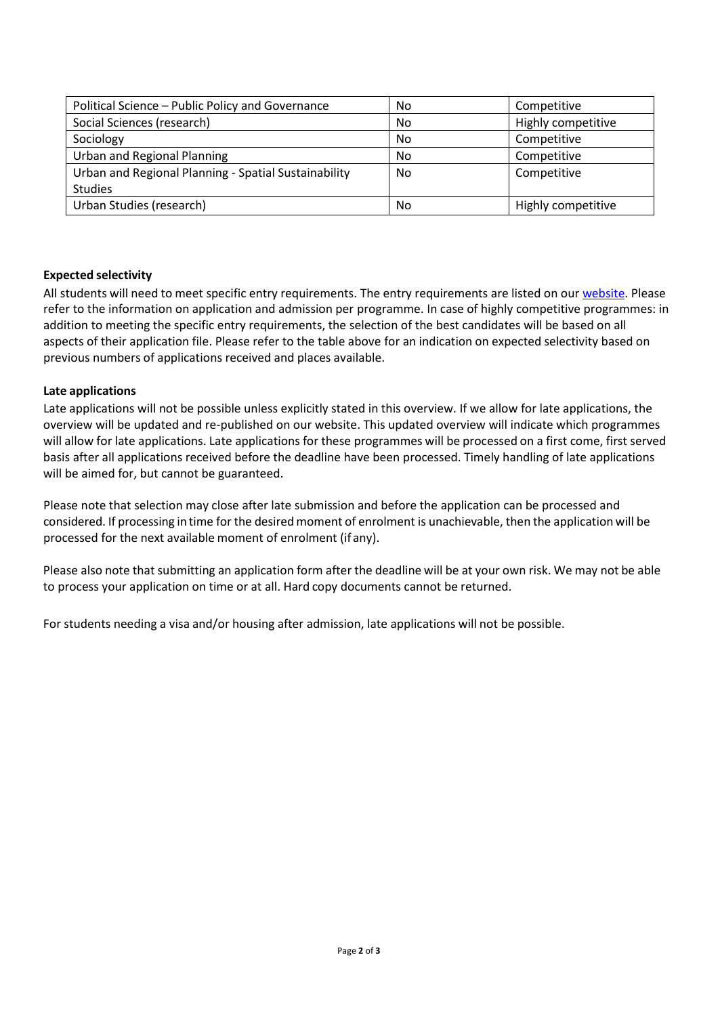| Political Science - Public Policy and Governance     | No | Competitive        |
|------------------------------------------------------|----|--------------------|
| Social Sciences (research)                           | No | Highly competitive |
| Sociology                                            | No | Competitive        |
| <b>Urban and Regional Planning</b>                   | No | Competitive        |
| Urban and Regional Planning - Spatial Sustainability | No | Competitive        |
| <b>Studies</b>                                       |    |                    |
| Urban Studies (research)                             | No | Highly competitive |

#### **Expected selectivity**

All students will need to meet specific entry requirements. The entry requirements are listed on our [website. P](http://gsss.uva.nl/programmes/programmes/programmes.html)lease refer to the information on application and admission per programme. In case of highly competitive programmes: in addition to meeting the specific entry requirements, the selection of the best candidates will be based on all aspects of their application file. Please refer to the table above for an indication on expected selectivity based on previous numbers of applications received and places available.

#### **Late applications**

Late applications will not be possible unless explicitly stated in this overview. If we allow for late applications, the overview will be updated and re-published on our website. This updated overview will indicate which programmes will allow for late applications. Late applications for these programmes will be processed on a first come, first served basis after all applications received before the deadline have been processed. Timely handling of late applications will be aimed for, but cannot be guaranteed.

Please note that selection may close after late submission and before the application can be processed and considered. If processing in time for the desired moment of enrolment is unachievable, then the application will be processed for the next available moment of enrolment (if any).

Please also note that submitting an application form after the deadline will be at your own risk. We may not be able to process your application on time or at all. Hard copy documents cannot be returned.

For students needing a visa and/or housing after admission, late applications will not be possible.